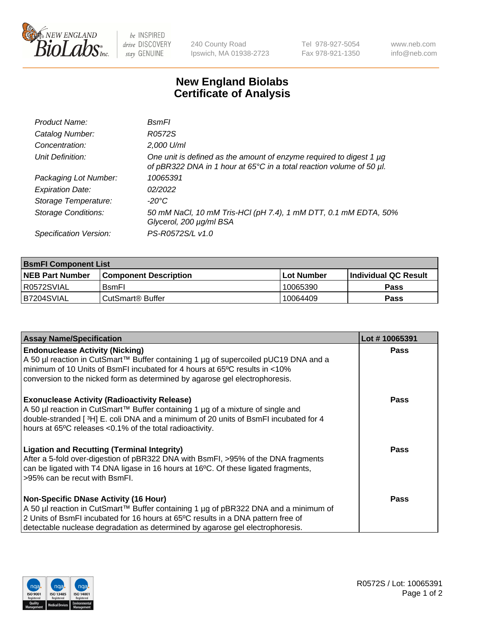

 $be$  INSPIRED drive DISCOVERY stay GENUINE

240 County Road Ipswich, MA 01938-2723 Tel 978-927-5054 Fax 978-921-1350 www.neb.com info@neb.com

## **New England Biolabs Certificate of Analysis**

| Product Name:              | BsmFl                                                                                                                                       |
|----------------------------|---------------------------------------------------------------------------------------------------------------------------------------------|
| Catalog Number:            | R0572S                                                                                                                                      |
| Concentration:             | 2,000 U/ml                                                                                                                                  |
| Unit Definition:           | One unit is defined as the amount of enzyme required to digest 1 µg<br>of pBR322 DNA in 1 hour at 65°C in a total reaction volume of 50 µl. |
| Packaging Lot Number:      | 10065391                                                                                                                                    |
| <b>Expiration Date:</b>    | 02/2022                                                                                                                                     |
| Storage Temperature:       | -20°C                                                                                                                                       |
| <b>Storage Conditions:</b> | 50 mM NaCl, 10 mM Tris-HCl (pH 7.4), 1 mM DTT, 0.1 mM EDTA, 50%<br>Glycerol, 200 µg/ml BSA                                                  |
| Specification Version:     | PS-R0572S/L v1.0                                                                                                                            |

| <b>BsmFI Component List</b> |                         |              |                             |  |
|-----------------------------|-------------------------|--------------|-----------------------------|--|
| <b>NEB Part Number</b>      | l Component Description | l Lot Number | <b>Individual QC Result</b> |  |
| I R0572SVIAL                | <b>B</b> smFI           | 10065390     | Pass                        |  |
| IB7204SVIAL                 | l CutSmart® Buffer_     | 10064409     | Pass                        |  |

| <b>Assay Name/Specification</b>                                                                                                                                                                                                                                                                          | Lot #10065391 |
|----------------------------------------------------------------------------------------------------------------------------------------------------------------------------------------------------------------------------------------------------------------------------------------------------------|---------------|
| <b>Endonuclease Activity (Nicking)</b><br>A 50 µl reaction in CutSmart™ Buffer containing 1 µg of supercoiled pUC19 DNA and a<br>minimum of 10 Units of BsmFI incubated for 4 hours at 65°C results in <10%<br>conversion to the nicked form as determined by agarose gel electrophoresis.               | <b>Pass</b>   |
| <b>Exonuclease Activity (Radioactivity Release)</b><br>A 50 µl reaction in CutSmart™ Buffer containing 1 µg of a mixture of single and<br>double-stranded [3H] E. coli DNA and a minimum of 20 units of BsmFI incubated for 4<br>hours at 65°C releases <0.1% of the total radioactivity.                | Pass          |
| <b>Ligation and Recutting (Terminal Integrity)</b><br>After a 5-fold over-digestion of pBR322 DNA with BsmFI, >95% of the DNA fragments<br>can be ligated with T4 DNA ligase in 16 hours at 16°C. Of these ligated fragments,<br>>95% can be recut with BsmFI.                                           | Pass          |
| <b>Non-Specific DNase Activity (16 Hour)</b><br>A 50 µl reaction in CutSmart™ Buffer containing 1 µg of pBR322 DNA and a minimum of<br>2 Units of BsmFI incubated for 16 hours at 65°C results in a DNA pattern free of<br>detectable nuclease degradation as determined by agarose gel electrophoresis. | Pass          |